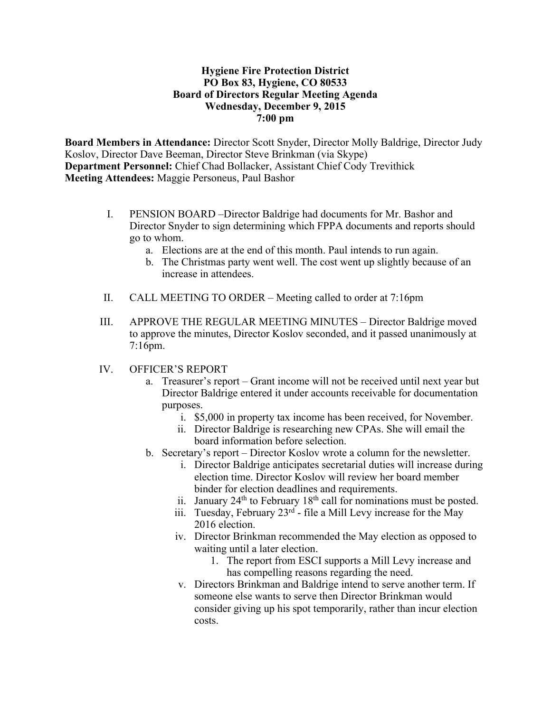#### **Hygiene Fire Protection District PO Box 83, Hygiene, CO 80533 Board of Directors Regular Meeting Agenda Wednesday, December 9, 2015 7:00 pm**

**Board Members in Attendance:** Director Scott Snyder, Director Molly Baldrige, Director Judy Koslov, Director Dave Beeman, Director Steve Brinkman (via Skype) **Department Personnel:** Chief Chad Bollacker, Assistant Chief Cody Trevithick **Meeting Attendees:** Maggie Personeus, Paul Bashor

- I. PENSION BOARD –Director Baldrige had documents for Mr. Bashor and Director Snyder to sign determining which FPPA documents and reports should go to whom.
	- a. Elections are at the end of this month. Paul intends to run again.
	- b. The Christmas party went well. The cost went up slightly because of an increase in attendees.
- II. CALL MEETING TO ORDER Meeting called to order at 7:16pm
- III. APPROVE THE REGULAR MEETING MINUTES Director Baldrige moved to approve the minutes, Director Koslov seconded, and it passed unanimously at 7:16pm.
- IV. OFFICER'S REPORT
	- a. Treasurer's report Grant income will not be received until next year but Director Baldrige entered it under accounts receivable for documentation purposes.
		- i. \$5,000 in property tax income has been received, for November.
		- ii. Director Baldrige is researching new CPAs. She will email the board information before selection.
	- b. Secretary's report Director Koslov wrote a column for the newsletter.
		- i. Director Baldrige anticipates secretarial duties will increase during election time. Director Koslov will review her board member binder for election deadlines and requirements.
		- ii. January  $24<sup>th</sup>$  to February  $18<sup>th</sup>$  call for nominations must be posted.
		- iii. Tuesday, February  $23^{rd}$  file a Mill Levy increase for the May 2016 election.
		- iv. Director Brinkman recommended the May election as opposed to waiting until a later election.
			- 1. The report from ESCI supports a Mill Levy increase and has compelling reasons regarding the need.
		- v. Directors Brinkman and Baldrige intend to serve another term. If someone else wants to serve then Director Brinkman would consider giving up his spot temporarily, rather than incur election costs.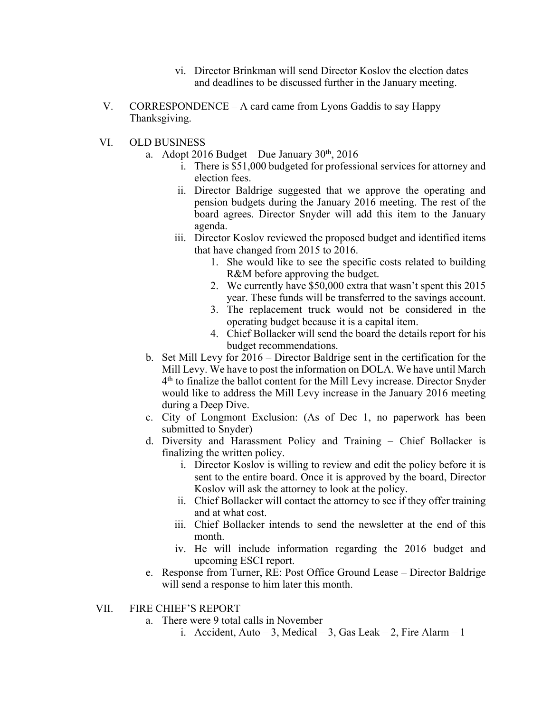- vi. Director Brinkman will send Director Koslov the election dates and deadlines to be discussed further in the January meeting.
- V. CORRESPONDENCE A card came from Lyons Gaddis to say Happy Thanksgiving.
- VI. OLD BUSINESS
	- a. Adopt 2016 Budget Due January  $30<sup>th</sup>$ , 2016
		- i. There is \$51,000 budgeted for professional services for attorney and election fees.
		- ii. Director Baldrige suggested that we approve the operating and pension budgets during the January 2016 meeting. The rest of the board agrees. Director Snyder will add this item to the January agenda.
		- iii. Director Koslov reviewed the proposed budget and identified items that have changed from 2015 to 2016.
			- 1. She would like to see the specific costs related to building R&M before approving the budget.
			- 2. We currently have \$50,000 extra that wasn't spent this 2015 year. These funds will be transferred to the savings account.
			- 3. The replacement truck would not be considered in the operating budget because it is a capital item.
			- 4. Chief Bollacker will send the board the details report for his budget recommendations.
	- b. Set Mill Levy for 2016 Director Baldrige sent in the certification for the Mill Levy. We have to post the information on DOLA. We have until March 4th to finalize the ballot content for the Mill Levy increase. Director Snyder would like to address the Mill Levy increase in the January 2016 meeting during a Deep Dive.
	- c. City of Longmont Exclusion: (As of Dec 1, no paperwork has been submitted to Snyder)
	- d. Diversity and Harassment Policy and Training Chief Bollacker is finalizing the written policy.
		- i. Director Koslov is willing to review and edit the policy before it is sent to the entire board. Once it is approved by the board, Director Koslov will ask the attorney to look at the policy.
		- ii. Chief Bollacker will contact the attorney to see if they offer training and at what cost.
		- iii. Chief Bollacker intends to send the newsletter at the end of this month.
		- iv. He will include information regarding the 2016 budget and upcoming ESCI report.
	- e. Response from Turner, RE: Post Office Ground Lease Director Baldrige will send a response to him later this month.

#### VII. FIRE CHIEF'S REPORT

- a. There were 9 total calls in November
	- i. Accident, Auto 3, Medical 3, Gas Leak 2, Fire Alarm 1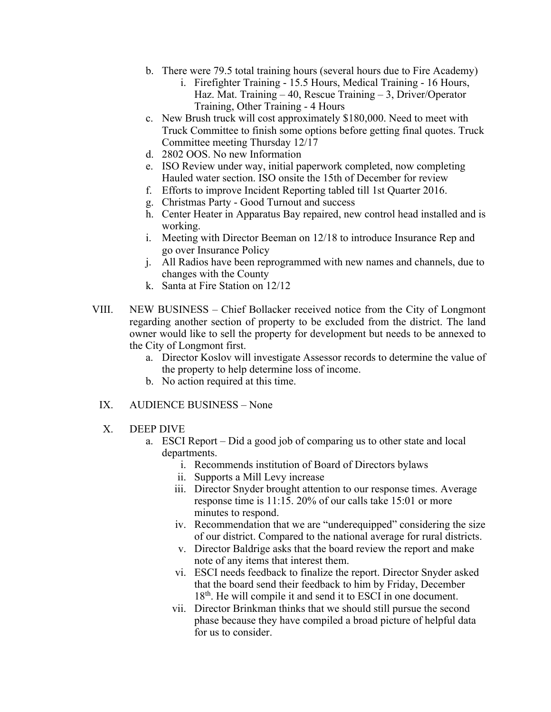- b. There were 79.5 total training hours (several hours due to Fire Academy)
	- i. Firefighter Training 15.5 Hours, Medical Training 16 Hours, Haz. Mat. Training – 40, Rescue Training – 3, Driver/Operator Training, Other Training - 4 Hours
- c. New Brush truck will cost approximately \$180,000. Need to meet with Truck Committee to finish some options before getting final quotes. Truck Committee meeting Thursday 12/17
- d. 2802 OOS. No new Information
- e. ISO Review under way, initial paperwork completed, now completing Hauled water section. ISO onsite the 15th of December for review
- f. Efforts to improve Incident Reporting tabled till 1st Quarter 2016.
- g. Christmas Party Good Turnout and success
- h. Center Heater in Apparatus Bay repaired, new control head installed and is working.
- i. Meeting with Director Beeman on 12/18 to introduce Insurance Rep and go over Insurance Policy
- j. All Radios have been reprogrammed with new names and channels, due to changes with the County
- k. Santa at Fire Station on 12/12
- VIII. NEW BUSINESS Chief Bollacker received notice from the City of Longmont regarding another section of property to be excluded from the district. The land owner would like to sell the property for development but needs to be annexed to the City of Longmont first.
	- a. Director Koslov will investigate Assessor records to determine the value of the property to help determine loss of income.
	- b. No action required at this time.
	- IX. AUDIENCE BUSINESS None
	- X. DEEP DIVE
		- a. ESCI Report Did a good job of comparing us to other state and local departments.
			- i. Recommends institution of Board of Directors bylaws
			- ii. Supports a Mill Levy increase
			- iii. Director Snyder brought attention to our response times. Average response time is 11:15. 20% of our calls take 15:01 or more minutes to respond.
			- iv. Recommendation that we are "underequipped" considering the size of our district. Compared to the national average for rural districts.
			- v. Director Baldrige asks that the board review the report and make note of any items that interest them.
			- vi. ESCI needs feedback to finalize the report. Director Snyder asked that the board send their feedback to him by Friday, December 18<sup>th</sup>. He will compile it and send it to ESCI in one document.
			- vii. Director Brinkman thinks that we should still pursue the second phase because they have compiled a broad picture of helpful data for us to consider.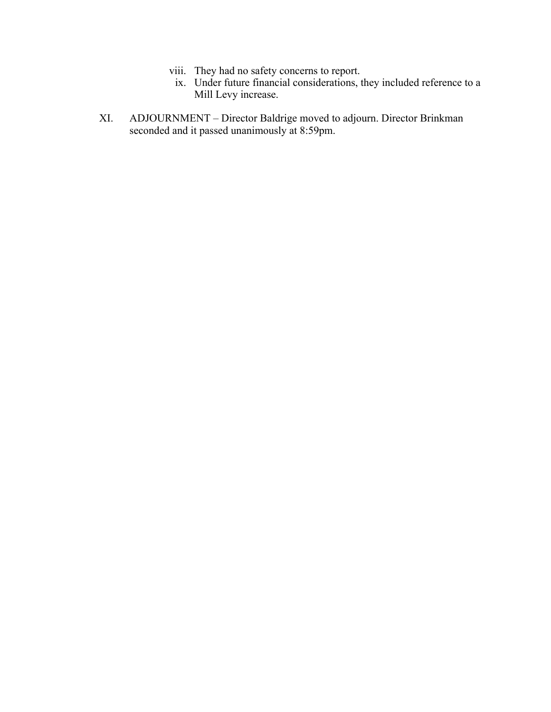- viii. They had no safety concerns to report.
- ix. Under future financial considerations, they included reference to a Mill Levy increase.
- XI. ADJOURNMENT Director Baldrige moved to adjourn. Director Brinkman seconded and it passed unanimously at 8:59pm.